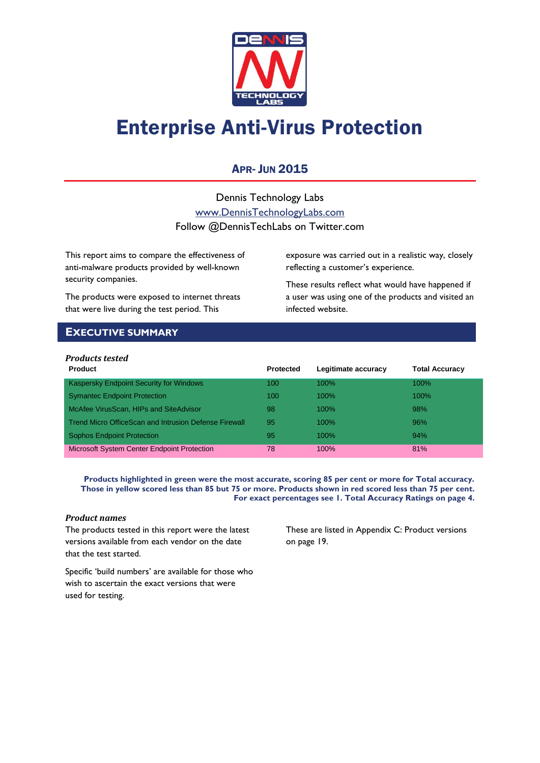

# Enterprise Anti-Virus Protection

## **APR- JUN 2015**

Dennis Technology Labs [www.DennisTechnologyLabs.com](http://www.dennistechnologylabs.com/) Follow @DennisTechLabs on Twitter.com

This report aims to compare the effectiveness of anti-malware products provided by well-known security companies.

The products were exposed to internet threats that were live during the test period. This

exposure was carried out in a realistic way, closely reflecting a customer's experience.

These results reflect what would have happened if a user was using one of the products and visited an infected website.

### <span id="page-0-0"></span>**EXECUTIVE SUMMARY**

### *Products tested*

| <b>Product</b>                                        | <b>Protected</b> | Legitimate accuracy | <b>Total Accuracy</b> |
|-------------------------------------------------------|------------------|---------------------|-----------------------|
| Kaspersky Endpoint Security for Windows               | 100              | $100\%$             | $100\%$               |
| <b>Symantec Endpoint Protection</b>                   | 100              | $100\%$             | $100\%$               |
| McAfee VirusScan, HIPs and SiteAdvisor                | 98               | $100\%$             | 98%                   |
| Trend Micro OfficeScan and Intrusion Defense Firewall | 95               | $100\%$             | 96%                   |
| <b>Sophos Endpoint Protection</b>                     | 95               | $100\%$             | 94%                   |
| Microsoft System Center Endpoint Protection           | 78               | $100\%$             | 81%                   |

**Products highlighted in green were the most accurate, scoring 85 per cent or more for Total accuracy. Those in yellow scored less than 85 but 75 or more. Products shown in red scored less than 75 per cent. For exact percentages see 1. Total Accuracy Ratings on page 4.**

### *Product names*

The products tested in this report were the latest versions available from each vendor on the date that the test started.

These are listed in [Appendix C: Product versions](#page-19-0) on page 19.

Specific 'build numbers' are available for those who wish to ascertain the exact versions that were used for testing.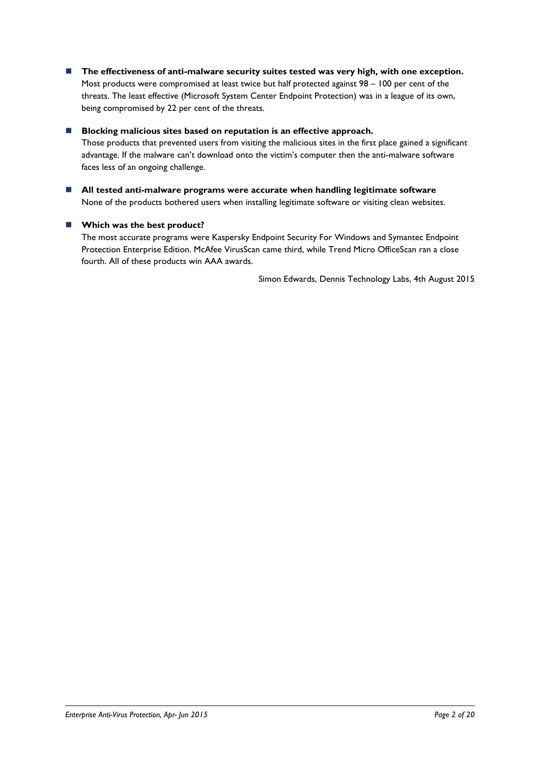■ The effectiveness of anti-malware security suites tested was very high, with one exception. Most products were compromised at least twice but half protected against 98 – 100 per cent of the threats. The least effective (Microsoft System Center Endpoint Protection) was in a league of its own, being compromised by 22 per cent of the threats.

### ■ Blocking malicious sites based on reputation is an effective approach.

Those products that prevented users from visiting the malicious sites in the first place gained a significant advantage. If the malware can't download onto the victim's computer then the anti-malware software faces less of an ongoing challenge.

 **All tested anti-malware programs were accurate when handling legitimate software** None of the products bothered users when installing legitimate software or visiting clean websites.

### **Which was the best product?**

The most accurate programs were Kaspersky Endpoint Security For Windows and Symantec Endpoint Protection Enterprise Edition. McAfee VirusScan came third, while Trend Micro OfficeScan ran a close fourth. All of these products win AAA awards.

Simon Edwards, Dennis Technology Labs, 4th August 2015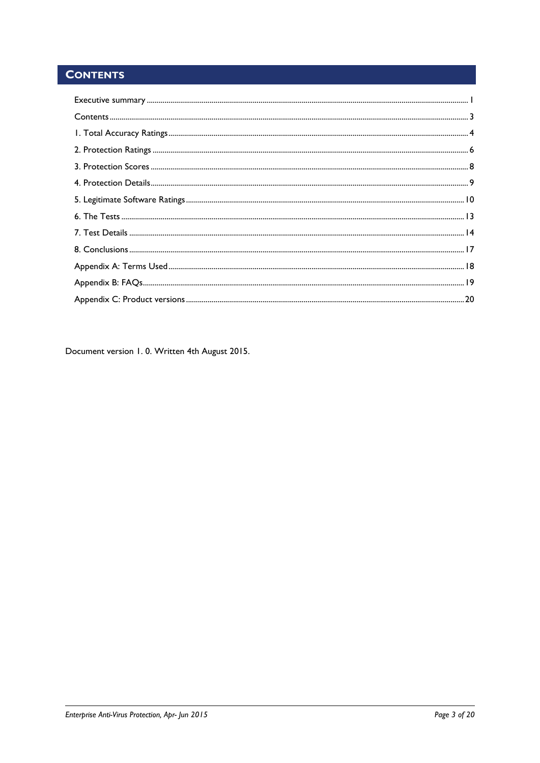# <span id="page-2-0"></span>**CONTENTS**

Document version 1.0. Written 4th August 2015.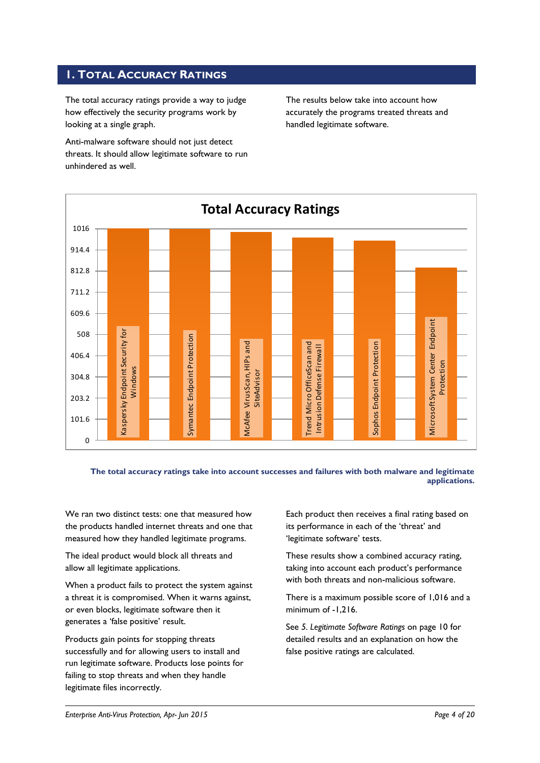### <span id="page-3-0"></span>**1. TOTAL ACCURACY RATINGS**

The total accuracy ratings provide a way to judge how effectively the security programs work by looking at a single graph.

Anti-malware software should not just detect threats. It should allow legitimate software to run unhindered as well.

The results below take into account how accurately the programs treated threats and handled legitimate software.



**The total accuracy ratings take into account successes and failures with both malware and legitimate applications.**

We ran two distinct tests: one that measured how the products handled internet threats and one that measured how they handled legitimate programs.

The ideal product would block all threats and allow all legitimate applications.

When a product fails to protect the system against a threat it is compromised. When it warns against, or even blocks, legitimate software then it generates a 'false positive' result.

Products gain points for stopping threats successfully and for allowing users to install and run legitimate software. Products lose points for failing to stop threats and when they handle legitimate files incorrectly.

Each product then receives a final rating based on its performance in each of the 'threat' and 'legitimate software' tests.

These results show a combined accuracy rating, taking into account each product's performance with both threats and non-malicious software.

There is a maximum possible score of 1,016 and a minimum of -1,216.

See *5. Legitimate Software Ratings* on page 10 for detailed results and an explanation on how the false positive ratings are calculated.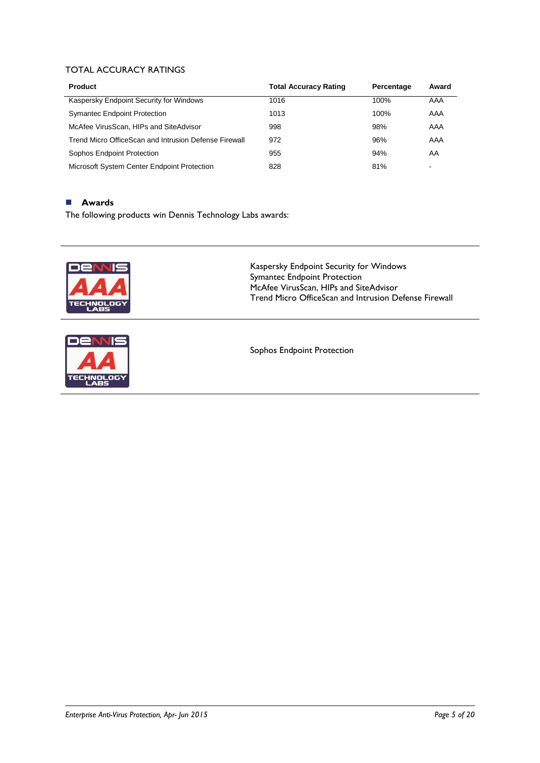### TOTAL ACCURACY RATINGS

| <b>Product</b>                                        | <b>Total Accuracy Rating</b> | Percentage | Award |
|-------------------------------------------------------|------------------------------|------------|-------|
| Kaspersky Endpoint Security for Windows               | 1016                         | 100%       | AAA   |
| <b>Symantec Endpoint Protection</b>                   | 1013                         | 100%       | AAA   |
| McAfee VirusScan, HIPs and SiteAdvisor                | 998                          | 98%        | AAA   |
| Trend Micro OfficeScan and Intrusion Defense Firewall | 972                          | 96%        | AAA   |
| Sophos Endpoint Protection                            | 955                          | 94%        | AA    |
| Microsoft System Center Endpoint Protection           | 828                          | 81%        | $\,$  |

### **Awards**

The following products win Dennis Technology Labs awards:





Kaspersky Endpoint Security for Windows Symantec Endpoint Protection McAfee VirusScan, HIPs and SiteAdvisor Trend Micro OfficeScan and Intrusion Defense Firewall

Sophos Endpoint Protection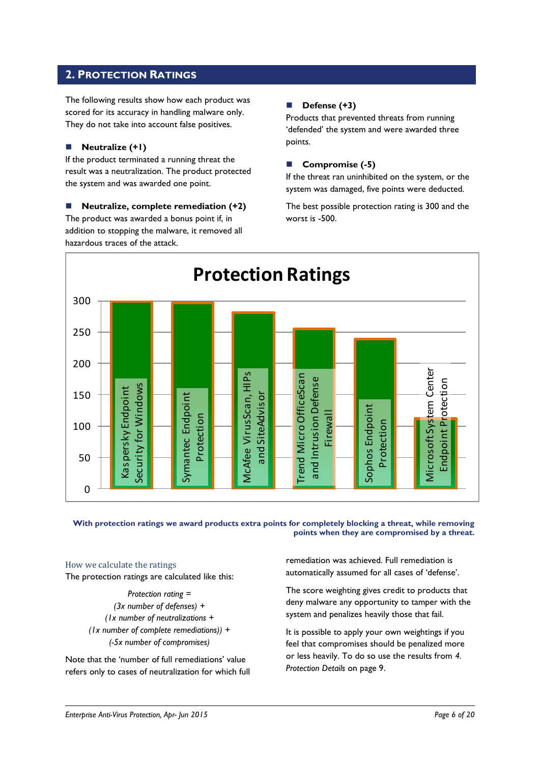### <span id="page-5-0"></span>**2. PROTECTION RATINGS**

The following results show how each product was scored for its accuracy in handling malware only. They do not take into account false positives.

### **Neutralize (+1)**

If the product terminated a running threat the result was a neutralization. The product protected the system and was awarded one point.

 **Neutralize, complete remediation (+2)** The product was awarded a bonus point if, in addition to stopping the malware, it removed all hazardous traces of the attack.

### **Defense (+3)**

Products that prevented threats from running 'defended' the system and were awarded three points.

### **Compromise (-5)**

If the threat ran uninhibited on the system, or the system was damaged, five points were deducted.

The best possible protection rating is 300 and the worst is -500.



**With protection ratings we award products extra points for completely blocking a threat, while removing points when they are compromised by a threat.**

### How we calculate the ratings

The protection ratings are calculated like this:

*Protection rating = (3x number of defenses) + (1x number of neutralizations + (1x number of complete remediations)) + (-5x number of compromises)*

Note that the 'number of full remediations' value refers only to cases of neutralization for which full

remediation was achieved. Full remediation is automatically assumed for all cases of 'defense'.

The score weighting gives credit to products that deny malware any opportunity to tamper with the system and penalizes heavily those that fail.

It is possible to apply your own weightings if you feel that compromises should be penalized more or less heavily. To do so use the results from *4. Protection Details* on page 9.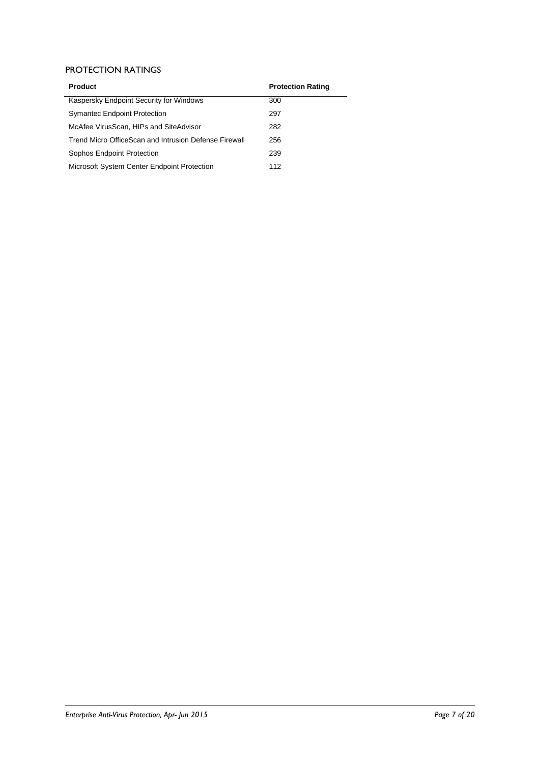### PROTECTION RATINGS

| <b>Product</b>                                        | <b>Protection Rating</b> |
|-------------------------------------------------------|--------------------------|
| Kaspersky Endpoint Security for Windows               | 300                      |
| <b>Symantec Endpoint Protection</b>                   | 297                      |
| McAfee VirusScan, HIPs and SiteAdvisor                | 282                      |
| Trend Micro OfficeScan and Intrusion Defense Firewall | 256                      |
| Sophos Endpoint Protection                            | 239                      |
| Microsoft System Center Endpoint Protection           | 112                      |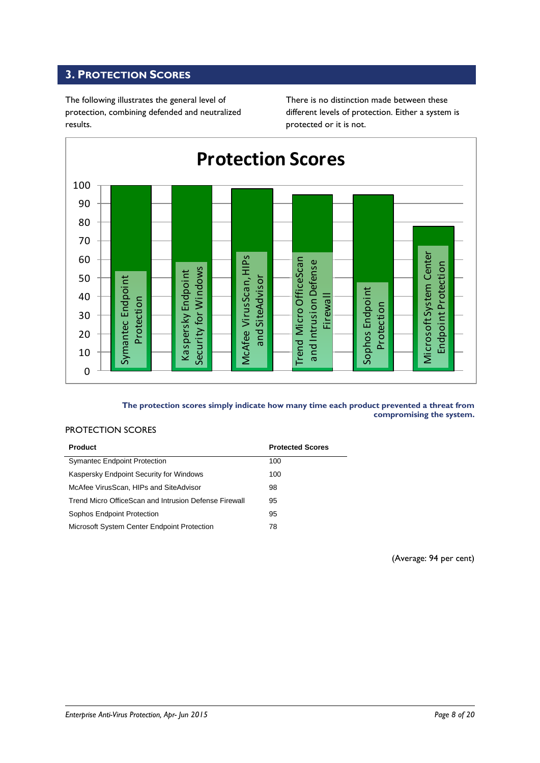### <span id="page-7-0"></span>**3. PROTECTION SCORES**

The following illustrates the general level of protection, combining defended and neutralized results.

There is no distinction made between these different levels of protection. Either a system is protected or it is not.



### **The protection scores simply indicate how many time each product prevented a threat from compromising the system.**

### PROTECTION SCORES

| <b>Product</b>                                        | <b>Protected Scores</b> |
|-------------------------------------------------------|-------------------------|
| <b>Symantec Endpoint Protection</b>                   | 100                     |
| Kaspersky Endpoint Security for Windows               | 100                     |
| McAfee VirusScan, HIPs and SiteAdvisor                | 98                      |
| Trend Micro OfficeScan and Intrusion Defense Firewall | 95                      |
| Sophos Endpoint Protection                            | 95                      |
| Microsoft System Center Endpoint Protection           | 78                      |

(Average: 94 per cent)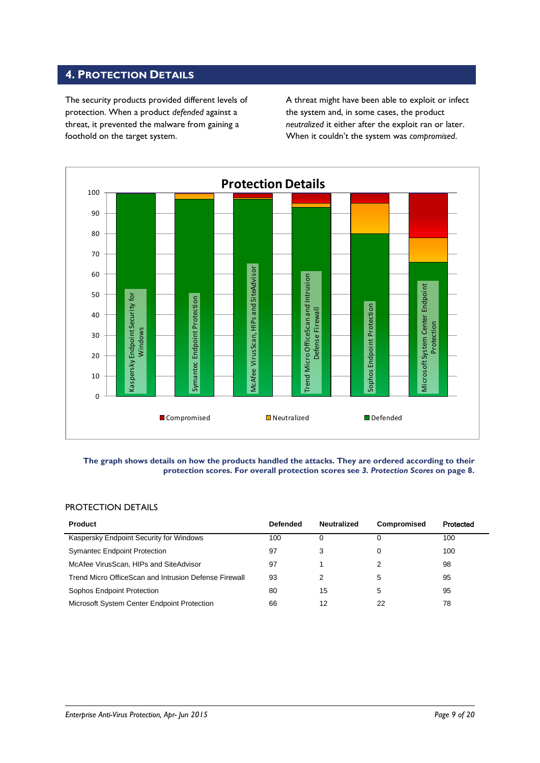### <span id="page-8-0"></span>**4. PROTECTION DETAILS**

The security products provided different levels of protection. When a product *defended* against a threat, it prevented the malware from gaining a foothold on the target system.

A threat might have been able to exploit or infect the system and, in some cases, the product *neutralized* it either after the exploit ran or later. When it couldn't the system was *compromised*.



#### **The graph shows details on how the products handled the attacks. They are ordered according to their protection scores. For overall protection scores see** *3. Protection Scores* **on page 8.**

### PROTECTION DETAILS

| <b>Product</b>                                        | <b>Defended</b> | <b>Neutralized</b> | Compromised | Protected |
|-------------------------------------------------------|-----------------|--------------------|-------------|-----------|
| Kaspersky Endpoint Security for Windows               | 100             |                    | 0           | 100       |
| <b>Symantec Endpoint Protection</b>                   | 97              |                    | 0           | 100       |
| McAfee VirusScan, HIPs and SiteAdvisor                | 97              |                    |             | 98        |
| Trend Micro OfficeScan and Intrusion Defense Firewall | 93              |                    | 5           | 95        |
| Sophos Endpoint Protection                            | 80              | 15                 | 5           | 95        |
| Microsoft System Center Endpoint Protection           | 66              | 12                 | 22          | 78        |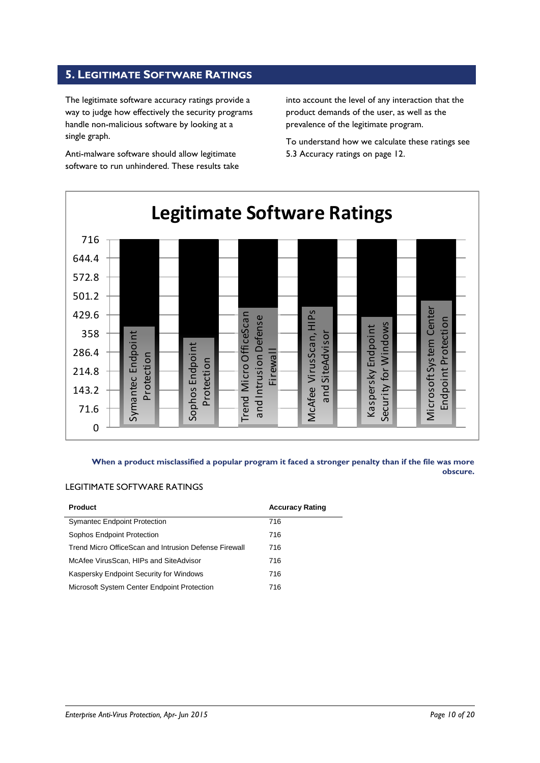### <span id="page-9-0"></span>**5. LEGITIMATE SOFTWARE RATINGS**

The legitimate software accuracy ratings provide a way to judge how effectively the security programs handle non-malicious software by looking at a single graph.

Anti-malware software should allow legitimate software to run unhindered. These results take into account the level of any interaction that the product demands of the user, as well as the prevalence of the legitimate program.

To understand how we calculate these ratings see 5.3 Accuracy ratings on page 12.



**When a product misclassified a popular program it faced a stronger penalty than if the file was more obscure.**

### LEGITIMATE SOFTWARE RATINGS

| <b>Product</b>                                        | <b>Accuracy Rating</b> |
|-------------------------------------------------------|------------------------|
| <b>Symantec Endpoint Protection</b>                   | 716                    |
| Sophos Endpoint Protection                            | 716                    |
| Trend Micro OfficeScan and Intrusion Defense Firewall | 716                    |
| McAfee VirusScan, HIPs and SiteAdvisor                | 716                    |
| Kaspersky Endpoint Security for Windows               | 716                    |
| Microsoft System Center Endpoint Protection           | 716                    |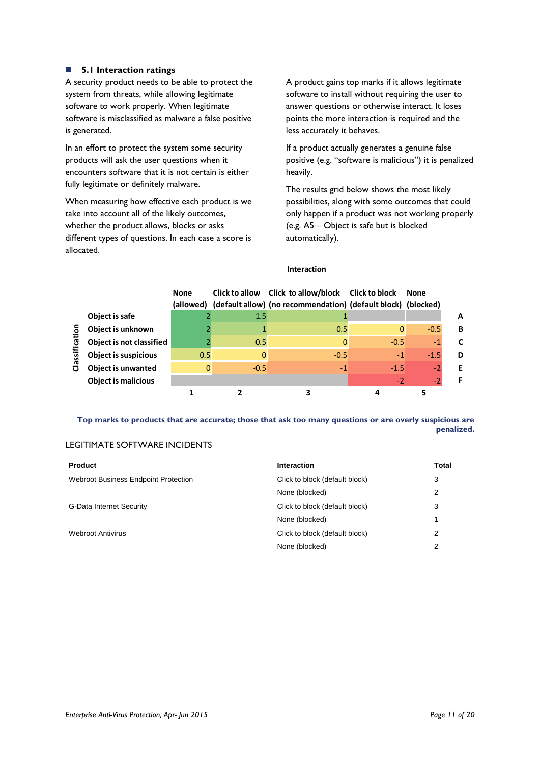### **5.1 Interaction ratings**

A security product needs to be able to protect the system from threats, while allowing legitimate software to work properly. When legitimate software is misclassified as malware a false positive is generated.

In an effort to protect the system some security products will ask the user questions when it encounters software that it is not certain is either fully legitimate or definitely malware.

When measuring how effective each product is we take into account all of the likely outcomes, whether the product allows, blocks or asks different types of questions. In each case a score is allocated.

A product gains top marks if it allows legitimate software to install without requiring the user to answer questions or otherwise interact. It loses points the more interaction is required and the less accurately it behaves.

If a product actually generates a genuine false positive (e.g. "software is malicious") it is penalized heavily.

The results grid below shows the most likely possibilities, along with some outcomes that could only happen if a product was not working properly (e.g. A5 – Object is safe but is blocked automatically).

### **Interaction**

|                |                             | <b>None</b><br>(allowed) | Click to allow | Click to allow/block Click to block<br>(default allow) (no recommendation) (default block) (blocked) |        | None   |   |
|----------------|-----------------------------|--------------------------|----------------|------------------------------------------------------------------------------------------------------|--------|--------|---|
|                | Object is safe              |                          | 1.5            |                                                                                                      |        |        | А |
|                | Object is unknown           |                          |                | 0.5                                                                                                  | 0      | $-0.5$ | в |
| assificati     | Object is not classified    |                          | 0.5            |                                                                                                      | $-0.5$ | $-1$   |   |
|                | <b>Object is suspicious</b> | 0.5                      | 0              | $-0.5$                                                                                               | $-1$   | $-1.5$ | D |
| $\overline{O}$ | <b>Object is unwanted</b>   |                          | $-0.5$         | $-1$                                                                                                 | $-1.5$ | $-2$   |   |
|                | <b>Object is malicious</b>  |                          |                |                                                                                                      | $-2$   | $-2$   |   |
|                |                             |                          |                |                                                                                                      |        |        |   |

**Top marks to products that are accurate; those that ask too many questions or are overly suspicious are penalized.**

### LEGITIMATE SOFTWARE INCIDENTS

| <b>Product</b>                              | <b>Interaction</b>             | Total |
|---------------------------------------------|--------------------------------|-------|
| <b>Webroot Business Endpoint Protection</b> | Click to block (default block) | 3     |
|                                             | None (blocked)                 | 2     |
| G-Data Internet Security                    | Click to block (default block) | 3     |
|                                             | None (blocked)                 |       |
| <b>Webroot Antivirus</b>                    | Click to block (default block) |       |
|                                             | None (blocked)                 | 2     |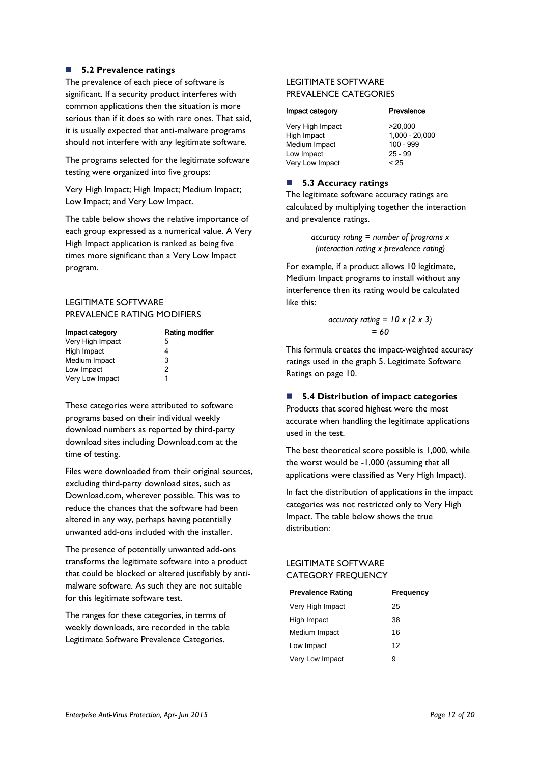### **5.2 Prevalence ratings**

The prevalence of each piece of software is significant. If a security product interferes with common applications then the situation is more serious than if it does so with rare ones. That said, it is usually expected that anti-malware programs should not interfere with any legitimate software.

The programs selected for the legitimate software testing were organized into five groups:

Very High Impact; High Impact; Medium Impact; Low Impact; and Very Low Impact.

The table below shows the relative importance of each group expressed as a numerical value. A Very High Impact application is ranked as being five times more significant than a Very Low Impact program.

### LEGITIMATE SOFTWARE PREVALENCE RATING MODIFIERS

| Impact category  | Rating modifier |
|------------------|-----------------|
| Very High Impact | 5               |
| High Impact      |                 |
| Medium Impact    | 3               |
| Low Impact       | 2               |
| Very Low Impact  |                 |

These categories were attributed to software programs based on their individual weekly download numbers as reported by third-party download sites including Download.com at the time of testing.

Files were downloaded from their original sources, excluding third-party download sites, such as Download.com, wherever possible. This was to reduce the chances that the software had been altered in any way, perhaps having potentially unwanted add-ons included with the installer.

The presence of potentially unwanted add-ons transforms the legitimate software into a product that could be blocked or altered justifiably by antimalware software. As such they are not suitable for this legitimate software test.

The ranges for these categories, in terms of weekly downloads, are recorded in the table Legitimate Software Prevalence Categories.

### LEGITIMATE SOFTWARE PREVALENCE CATEGORIES

| Prevalence       |
|------------------|
| >20.000          |
| $1,000 - 20,000$ |
| $100 - 999$      |
| $25 - 99$        |
| < 25             |
|                  |

### ■ 5.3 Accuracy ratings

The legitimate software accuracy ratings are calculated by multiplying together the interaction and prevalence ratings.

> *accuracy rating = number of programs x (interaction rating x prevalence rating)*

For example, if a product allows 10 legitimate, Medium Impact programs to install without any interference then its rating would be calculated like this:

$$
\begin{aligned} \text{accuracy rating} &= 10 \times (2 \times 3) \\ &= 60 \end{aligned}
$$

This formula creates the impact-weighted accuracy ratings used in the graph 5. Legitimate Software Ratings on page 10.

### **5.4 Distribution of impact categories**

Products that scored highest were the most accurate when handling the legitimate applications used in the test.

The best theoretical score possible is 1,000, while the worst would be -1,000 (assuming that all applications were classified as Very High Impact).

In fact the distribution of applications in the impact categories was not restricted only to Very High Impact. The table below shows the true distribution:

### LEGITIMATE SOFTWARE CATEGORY FREQUENCY

| <b>Prevalence Rating</b> | Frequency |
|--------------------------|-----------|
| Very High Impact         | 25        |
| High Impact              | 38        |
| Medium Impact            | 16        |
| Low Impact               | 12        |
| Very Low Impact          | я         |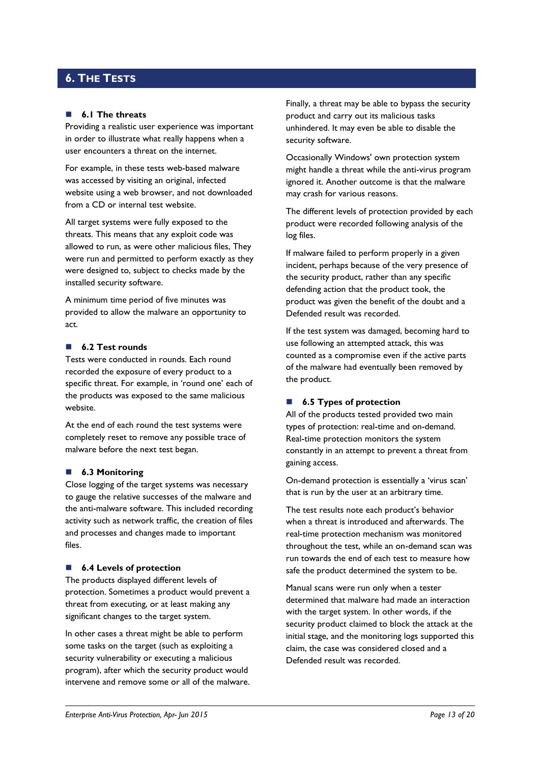### <span id="page-12-0"></span>**6. THE TESTS**

#### **6.1 The threats**

Providing a realistic user experience was important in order to illustrate what really happens when a user encounters a threat on the internet.

For example, in these tests web-based malware was accessed by visiting an original, infected website using a web browser, and not downloaded from a CD or internal test website.

All target systems were fully exposed to the threats. This means that any exploit code was allowed to run, as were other malicious files, They were run and permitted to perform exactly as they were designed to, subject to checks made by the installed security software.

A minimum time period of five minutes was provided to allow the malware an opportunity to act.

### **6.2 Test rounds**

Tests were conducted in rounds. Each round recorded the exposure of every product to a specific threat. For example, in 'round one' each of the products was exposed to the same malicious website.

At the end of each round the test systems were completely reset to remove any possible trace of malware before the next test began.

#### **6.3 Monitoring**

Close logging of the target systems was necessary to gauge the relative successes of the malware and the anti-malware software. This included recording activity such as network traffic, the creation of files and processes and changes made to important files.

#### ■ **6.4 Levels of protection**

The products displayed different levels of protection. Sometimes a product would prevent a threat from executing, or at least making any significant changes to the target system.

In other cases a threat might be able to perform some tasks on the target (such as exploiting a security vulnerability or executing a malicious program), after which the security product would intervene and remove some or all of the malware. Finally, a threat may be able to bypass the security product and carry out its malicious tasks unhindered. It may even be able to disable the security software.

Occasionally Windows' own protection system might handle a threat while the anti-virus program ignored it. Another outcome is that the malware may crash for various reasons.

The different levels of protection provided by each product were recorded following analysis of the log files.

If malware failed to perform properly in a given incident, perhaps because of the very presence of the security product, rather than any specific defending action that the product took, the product was given the benefit of the doubt and a Defended result was recorded.

If the test system was damaged, becoming hard to use following an attempted attack, this was counted as a compromise even if the active parts of the malware had eventually been removed by the product.

### ■ **6.5 Types of protection**

All of the products tested provided two main types of protection: real-time and on-demand. Real-time protection monitors the system constantly in an attempt to prevent a threat from gaining access.

On-demand protection is essentially a 'virus scan' that is run by the user at an arbitrary time.

The test results note each product's behavior when a threat is introduced and afterwards. The real-time protection mechanism was monitored throughout the test, while an on-demand scan was run towards the end of each test to measure how safe the product determined the system to be.

Manual scans were run only when a tester determined that malware had made an interaction with the target system. In other words, if the security product claimed to block the attack at the initial stage, and the monitoring logs supported this claim, the case was considered closed and a Defended result was recorded.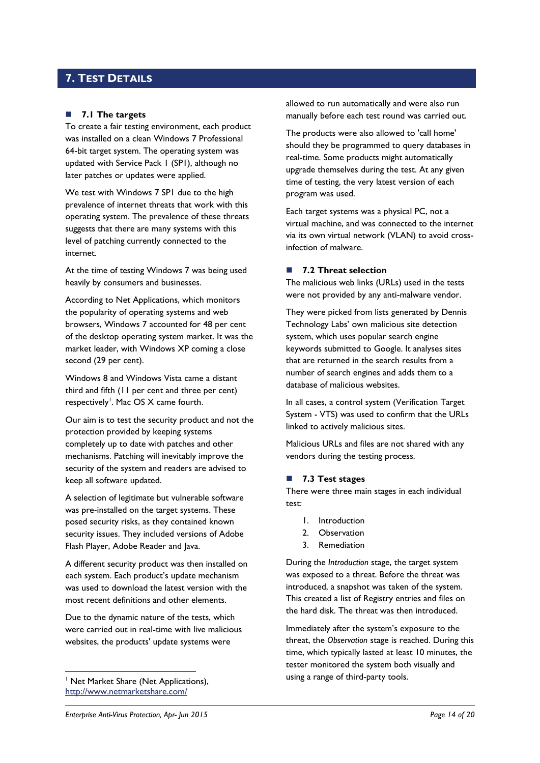### <span id="page-13-0"></span>**7. TEST DETAILS**

### **7.1 The targets**

To create a fair testing environment, each product was installed on a clean Windows 7 Professional 64-bit target system. The operating system was updated with Service Pack 1 (SP1), although no later patches or updates were applied.

We test with Windows 7 SP1 due to the high prevalence of internet threats that work with this operating system. The prevalence of these threats suggests that there are many systems with this level of patching currently connected to the internet.

At the time of testing Windows 7 was being used heavily by consumers and businesses.

According to Net Applications, which monitors the popularity of operating systems and web browsers, Windows 7 accounted for 48 per cent of the desktop operating system market. It was the market leader, with Windows XP coming a close second (29 per cent).

Windows 8 and Windows Vista came a distant third and fifth (11 per cent and three per cent) respectively<sup>1</sup>. Mac OS X came fourth.

Our aim is to test the security product and not the protection provided by keeping systems completely up to date with patches and other mechanisms. Patching will inevitably improve the security of the system and readers are advised to keep all software updated.

A selection of legitimate but vulnerable software was pre-installed on the target systems. These posed security risks, as they contained known security issues. They included versions of Adobe Flash Player, Adobe Reader and Java.

A different security product was then installed on each system. Each product's update mechanism was used to download the latest version with the most recent definitions and other elements.

Due to the dynamic nature of the tests, which were carried out in real-time with live malicious websites, the products' update systems were

<sup>1</sup> Net Market Share (Net Applications), <http://www.netmarketshare.com/>

-

allowed to run automatically and were also run manually before each test round was carried out.

The products were also allowed to 'call home' should they be programmed to query databases in real-time. Some products might automatically upgrade themselves during the test. At any given time of testing, the very latest version of each program was used.

Each target systems was a physical PC, not a virtual machine, and was connected to the internet via its own virtual network (VLAN) to avoid crossinfection of malware.

### **7.2 Threat selection**

The malicious web links (URLs) used in the tests were not provided by any anti-malware vendor.

They were picked from lists generated by Dennis Technology Labs' own malicious site detection system, which uses popular search engine keywords submitted to Google. It analyses sites that are returned in the search results from a number of search engines and adds them to a database of malicious websites.

In all cases, a control system (Verification Target System - VTS) was used to confirm that the URLs linked to actively malicious sites.

Malicious URLs and files are not shared with any vendors during the testing process.

### <span id="page-13-1"></span>**7.3 Test stages**

There were three main stages in each individual test:

- 1. Introduction
- 2. Observation
- 3. Remediation

During the *Introduction* stage, the target system was exposed to a threat. Before the threat was introduced, a snapshot was taken of the system. This created a list of Registry entries and files on the hard disk. The threat was then introduced.

Immediately after the system's exposure to the threat, the *Observation* stage is reached. During this time, which typically lasted at least 10 minutes, the tester monitored the system both visually and using a range of third-party tools.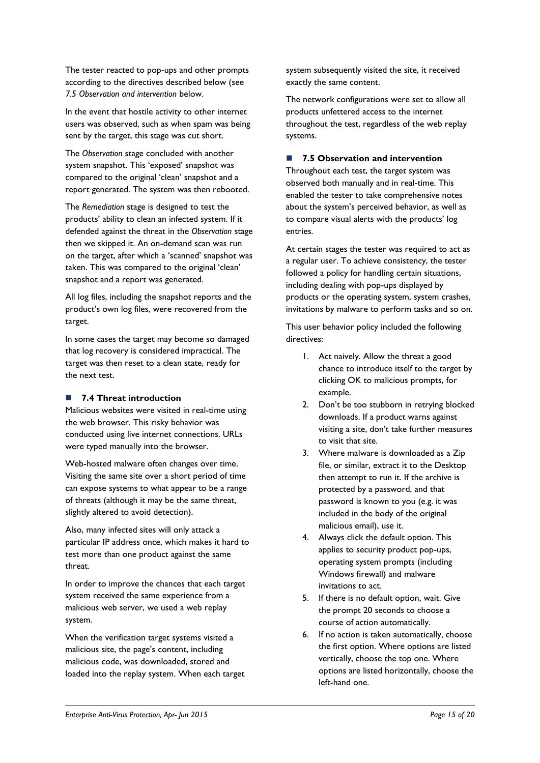The tester reacted to pop-ups and other prompts according to the directives described below (see *7.5 Observation and intervention* below.

In the event that hostile activity to other internet users was observed, such as when spam was being sent by the target, this stage was cut short.

The *Observation* stage concluded with another system snapshot. This 'exposed' snapshot was compared to the original 'clean' snapshot and a report generated. The system was then rebooted.

The *Remediation* stage is designed to test the products' ability to clean an infected system. If it defended against the threat in the *Observation* stage then we skipped it. An on-demand scan was run on the target, after which a 'scanned' snapshot was taken. This was compared to the original 'clean' snapshot and a report was generated.

All log files, including the snapshot reports and the product's own log files, were recovered from the target.

In some cases the target may become so damaged that log recovery is considered impractical. The target was then reset to a clean state, ready for the next test.

### **7.4 Threat introduction**

Malicious websites were visited in real-time using the web browser. This risky behavior was conducted using live internet connections. URLs were typed manually into the browser.

Web-hosted malware often changes over time. Visiting the same site over a short period of time can expose systems to what appear to be a range of threats (although it may be the same threat, slightly altered to avoid detection).

Also, many infected sites will only attack a particular IP address once, which makes it hard to test more than one product against the same threat.

In order to improve the chances that each target system received the same experience from a malicious web server, we used a web replay system.

When the verification target systems visited a malicious site, the page's content, including malicious code, was downloaded, stored and loaded into the replay system. When each target system subsequently visited the site, it received exactly the same content.

The network configurations were set to allow all products unfettered access to the internet throughout the test, regardless of the web replay systems.

### **7.5 Observation and intervention**

Throughout each test, the target system was observed both manually and in real-time. This enabled the tester to take comprehensive notes about the system's perceived behavior, as well as to compare visual alerts with the products' log entries.

At certain stages the tester was required to act as a regular user. To achieve consistency, the tester followed a policy for handling certain situations, including dealing with pop-ups displayed by products or the operating system, system crashes, invitations by malware to perform tasks and so on.

This user behavior policy included the following directives:

- 1. Act naively. Allow the threat a good chance to introduce itself to the target by clicking OK to malicious prompts, for example.
- 2. Don't be too stubborn in retrying blocked downloads. If a product warns against visiting a site, don't take further measures to visit that site.
- 3. Where malware is downloaded as a Zip file, or similar, extract it to the Desktop then attempt to run it. If the archive is protected by a password, and that password is known to you (e.g. it was included in the body of the original malicious email), use it.
- 4. Always click the default option. This applies to security product pop-ups, operating system prompts (including Windows firewall) and malware invitations to act.
- 5. If there is no default option, wait. Give the prompt 20 seconds to choose a course of action automatically.
- 6. If no action is taken automatically, choose the first option. Where options are listed vertically, choose the top one. Where options are listed horizontally, choose the left-hand one.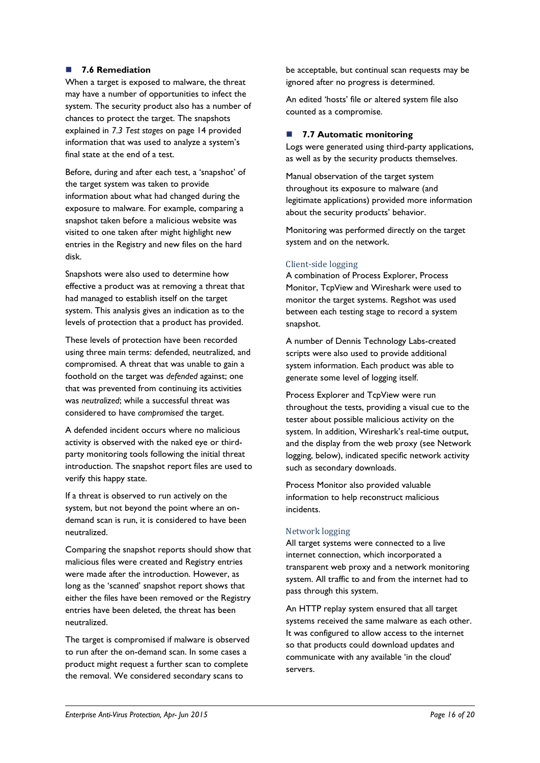### **7.6 Remediation**

When a target is exposed to malware, the threat may have a number of opportunities to infect the system. The security product also has a number of chances to protect the target. The snapshots explained in *7.3 Test stages* [on page 14](#page-13-1) provided information that was used to analyze a system's final state at the end of a test.

Before, during and after each test, a 'snapshot' of the target system was taken to provide information about what had changed during the exposure to malware. For example, comparing a snapshot taken before a malicious website was visited to one taken after might highlight new entries in the Registry and new files on the hard disk.

Snapshots were also used to determine how effective a product was at removing a threat that had managed to establish itself on the target system. This analysis gives an indication as to the levels of protection that a product has provided.

These levels of protection have been recorded using three main terms: defended, neutralized, and compromised. A threat that was unable to gain a foothold on the target was *defended* against; one that was prevented from continuing its activities was *neutralized*; while a successful threat was considered to have *compromised* the target.

A defended incident occurs where no malicious activity is observed with the naked eye or thirdparty monitoring tools following the initial threat introduction. The snapshot report files are used to verify this happy state.

If a threat is observed to run actively on the system, but not beyond the point where an ondemand scan is run, it is considered to have been neutralized.

Comparing the snapshot reports should show that malicious files were created and Registry entries were made after the introduction. However, as long as the 'scanned' snapshot report shows that either the files have been removed or the Registry entries have been deleted, the threat has been neutralized.

The target is compromised if malware is observed to run after the on-demand scan. In some cases a product might request a further scan to complete the removal. We considered secondary scans to

be acceptable, but continual scan requests may be ignored after no progress is determined.

An edited 'hosts' file or altered system file also counted as a compromise.

### **7.7 Automatic monitoring**

Logs were generated using third-party applications, as well as by the security products themselves.

Manual observation of the target system throughout its exposure to malware (and legitimate applications) provided more information about the security products' behavior.

Monitoring was performed directly on the target system and on the network.

### Client-side logging

A combination of Process Explorer, Process Monitor, TcpView and Wireshark were used to monitor the target systems. Regshot was used between each testing stage to record a system snapshot.

A number of Dennis Technology Labs-created scripts were also used to provide additional system information. Each product was able to generate some level of logging itself.

Process Explorer and TcpView were run throughout the tests, providing a visual cue to the tester about possible malicious activity on the system. In addition, Wireshark's real-time output, and the display from the web proxy (see Network logging, below), indicated specific network activity such as secondary downloads.

Process Monitor also provided valuable information to help reconstruct malicious incidents.

### Network logging

All target systems were connected to a live internet connection, which incorporated a transparent web proxy and a network monitoring system. All traffic to and from the internet had to pass through this system.

An HTTP replay system ensured that all target systems received the same malware as each other. It was configured to allow access to the internet so that products could download updates and communicate with any available 'in the cloud' servers.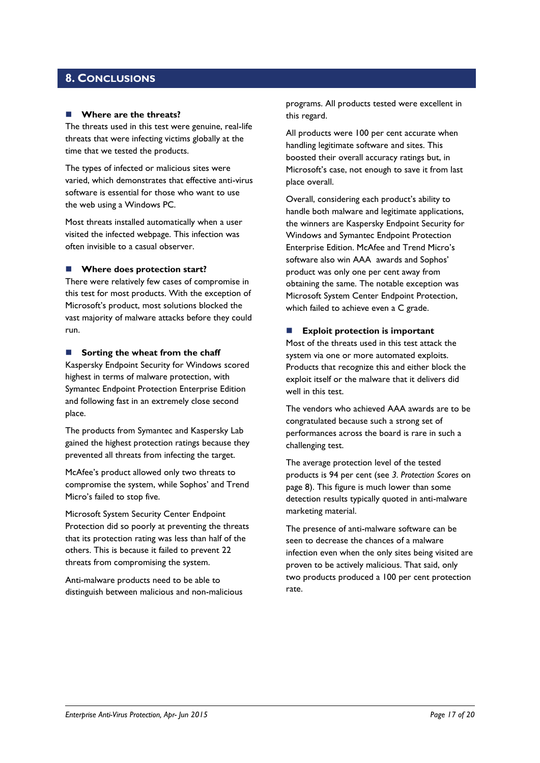### <span id="page-16-0"></span>**8. CONCLUSIONS**

#### **Where are the threats?**

The threats used in this test were genuine, real-life threats that were infecting victims globally at the time that we tested the products.

The types of infected or malicious sites were varied, which demonstrates that effective anti-virus software is essential for those who want to use the web using a Windows PC.

Most threats installed automatically when a user visited the infected webpage. This infection was often invisible to a casual observer.

### **Where does protection start?**

There were relatively few cases of compromise in this test for most products. With the exception of Microsoft's product, most solutions blocked the vast majority of malware attacks before they could run.

#### **Sorting the wheat from the chaff**

Kaspersky Endpoint Security for Windows scored highest in terms of malware protection, with Symantec Endpoint Protection Enterprise Edition and following fast in an extremely close second place.

The products from Symantec and Kaspersky Lab gained the highest protection ratings because they prevented all threats from infecting the target.

McAfee's product allowed only two threats to compromise the system, while Sophos' and Trend Micro's failed to stop five.

Microsoft System Security Center Endpoint Protection did so poorly at preventing the threats that its protection rating was less than half of the others. This is because it failed to prevent 22 threats from compromising the system.

Anti-malware products need to be able to distinguish between malicious and non-malicious programs. All products tested were excellent in this regard.

All products were 100 per cent accurate when handling legitimate software and sites. This boosted their overall accuracy ratings but, in Microsoft's case, not enough to save it from last place overall.

Overall, considering each product's ability to handle both malware and legitimate applications, the winners are Kaspersky Endpoint Security for Windows and Symantec Endpoint Protection Enterprise Edition. McAfee and Trend Micro's software also win AAA awards and Sophos' product was only one per cent away from obtaining the same. The notable exception was Microsoft System Center Endpoint Protection, which failed to achieve even a C grade.

### **Exploit protection is important**

Most of the threats used in this test attack the system via one or more automated exploits. Products that recognize this and either block the exploit itself or the malware that it delivers did well in this test.

The vendors who achieved AAA awards are to be congratulated because such a strong set of performances across the board is rare in such a challenging test.

The average protection level of the tested products is 94 per cent (see *3. Protection Scores* on page 8). This figure is much lower than some detection results typically quoted in anti-malware marketing material.

The presence of anti-malware software can be seen to decrease the chances of a malware infection even when the only sites being visited are proven to be actively malicious. That said, only two products produced a 100 per cent protection rate.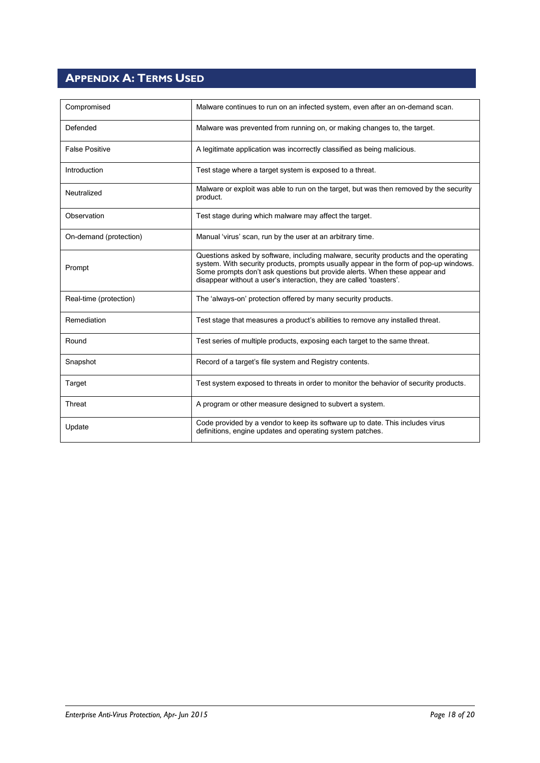# <span id="page-17-0"></span>**APPENDIX A: TERMS USED**

| Compromised            | Malware continues to run on an infected system, even after an on-demand scan.                                                                                                                                                                                                                                                     |  |
|------------------------|-----------------------------------------------------------------------------------------------------------------------------------------------------------------------------------------------------------------------------------------------------------------------------------------------------------------------------------|--|
| Defended               | Malware was prevented from running on, or making changes to, the target.                                                                                                                                                                                                                                                          |  |
| <b>False Positive</b>  | A legitimate application was incorrectly classified as being malicious.                                                                                                                                                                                                                                                           |  |
| Introduction           | Test stage where a target system is exposed to a threat.                                                                                                                                                                                                                                                                          |  |
| Neutralized            | Malware or exploit was able to run on the target, but was then removed by the security<br>product.                                                                                                                                                                                                                                |  |
| Observation            | Test stage during which malware may affect the target.                                                                                                                                                                                                                                                                            |  |
| On-demand (protection) | Manual 'virus' scan, run by the user at an arbitrary time.                                                                                                                                                                                                                                                                        |  |
| Prompt                 | Questions asked by software, including malware, security products and the operating<br>system. With security products, prompts usually appear in the form of pop-up windows.<br>Some prompts don't ask questions but provide alerts. When these appear and<br>disappear without a user's interaction, they are called 'toasters'. |  |
| Real-time (protection) | The 'always-on' protection offered by many security products.                                                                                                                                                                                                                                                                     |  |
| Remediation            | Test stage that measures a product's abilities to remove any installed threat.                                                                                                                                                                                                                                                    |  |
| Round                  | Test series of multiple products, exposing each target to the same threat.                                                                                                                                                                                                                                                        |  |
| Snapshot               | Record of a target's file system and Registry contents.                                                                                                                                                                                                                                                                           |  |
| Target                 | Test system exposed to threats in order to monitor the behavior of security products.                                                                                                                                                                                                                                             |  |
| Threat                 | A program or other measure designed to subvert a system.                                                                                                                                                                                                                                                                          |  |
| Update                 | Code provided by a vendor to keep its software up to date. This includes virus<br>definitions, engine updates and operating system patches.                                                                                                                                                                                       |  |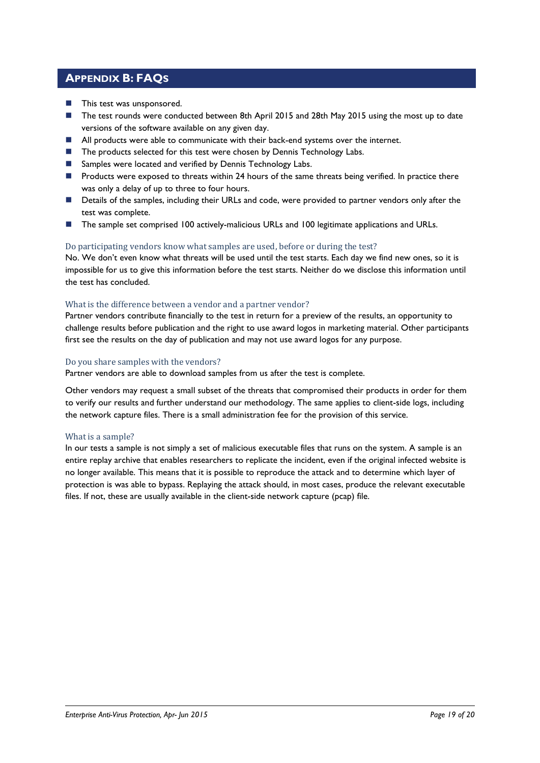### <span id="page-18-0"></span>**APPENDIX B: FAQS**

- **This test was unsponsored.**
- The test rounds were conducted between 8th April 2015 and 28th May 2015 using the most up to date versions of the software available on any given day.
- **All products were able to communicate with their back-end systems over the internet.**
- The products selected for this test were chosen by Dennis Technology Labs.
- Samples were located and verified by Dennis Technology Labs.
- **Products were exposed to threats within 24 hours of the same threats being verified. In practice there** was only a delay of up to three to four hours.
- Details of the samples, including their URLs and code, were provided to partner vendors only after the test was complete.
- The sample set comprised 100 actively-malicious URLs and 100 legitimate applications and URLs.

### Do participating vendors know what samples are used, before or during the test?

No. We don't even know what threats will be used until the test starts. Each day we find new ones, so it is impossible for us to give this information before the test starts. Neither do we disclose this information until the test has concluded.

### What is the difference between a vendor and a partner vendor?

Partner vendors contribute financially to the test in return for a preview of the results, an opportunity to challenge results before publication and the right to use award logos in marketing material. Other participants first see the results on the day of publication and may not use award logos for any purpose.

### Do you share samples with the vendors?

Partner vendors are able to download samples from us after the test is complete.

Other vendors may request a small subset of the threats that compromised their products in order for them to verify our results and further understand our methodology. The same applies to client-side logs, including the network capture files. There is a small administration fee for the provision of this service.

### What is a sample?

In our tests a sample is not simply a set of malicious executable files that runs on the system. A sample is an entire replay archive that enables researchers to replicate the incident, even if the original infected website is no longer available. This means that it is possible to reproduce the attack and to determine which layer of protection is was able to bypass. Replaying the attack should, in most cases, produce the relevant executable files. If not, these are usually available in the client-side network capture (pcap) file.